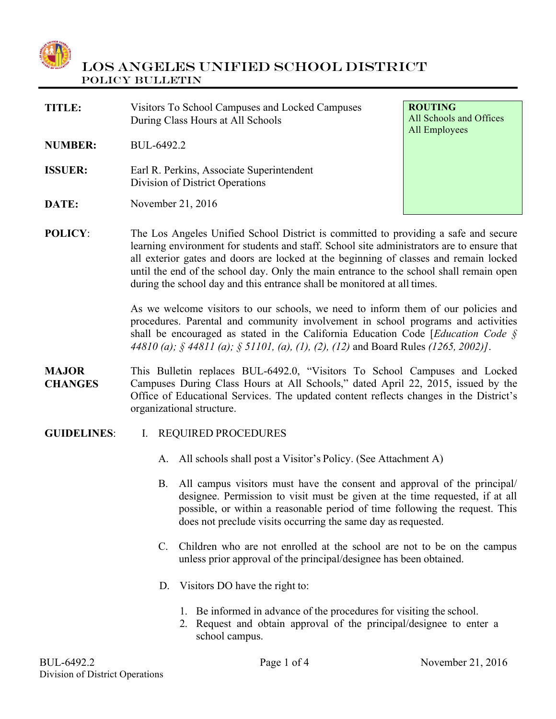

| <b>TITLE:</b>  | Visitors To School Campuses and Locked Campuses<br>During Class Hours at All Schools | <b>ROUTING</b><br>All Schools and Offices<br>All Employees |
|----------------|--------------------------------------------------------------------------------------|------------------------------------------------------------|
| <b>NUMBER:</b> | BUL-6492.2                                                                           |                                                            |
| <b>ISSUER:</b> | Earl R. Perkins, Associate Superintendent<br>Division of District Operations         |                                                            |
| <b>DATE:</b>   | November 21, 2016                                                                    |                                                            |
| <b>POLICY:</b> | The Los Angeles Unified School District is committed to providing a safe and secure  |                                                            |

**POLICY:** The Los Angeles Unified School District is committed to providing a safe and secure learning environment for students and staff. School site administrators are to ensure that all exterior gates and doors are locked at the beginning of classes and remain locked until the end of the school day. Only the main entrance to the school shall remain open during the school day and this entrance shall be monitored at all times.

> As we welcome visitors to our schools, we need to inform them of our policies and procedures. Parental and community involvement in school programs and activities shall be encouraged as stated in the California Education Code [*Education Code § 44810 (a); § 44811 (a); § 51101, (a), (1), (2), (12)* and Board Rules *(1265, 2002)]*.

- **MAJOR CHANGES** This Bulletin replaces BUL-6492.0, "Visitors To School Campuses and Locked Campuses During Class Hours at All Schools," dated April 22, 2015, issued by the Office of Educational Services. The updated content reflects changes in the District's organizational structure.
- **GUIDELINES**: I. REQUIRED PROCEDURES
	- A. All schools shall post a Visitor's Policy. (See Attachment A)
	- B. All campus visitors must have the consent and approval of the principal/ designee. Permission to visit must be given at the time requested, if at all possible, or within a reasonable period of time following the request. This does not preclude visits occurring the same day as requested.
	- C. Children who are not enrolled at the school are not to be on the campus unless prior approval of the principal/designee has been obtained.
	- D. Visitors DO have the right to:
		- 1. Be informed in advance of the procedures for visiting the school.
		- 2. Request and obtain approval of the principal/designee to enter a school campus.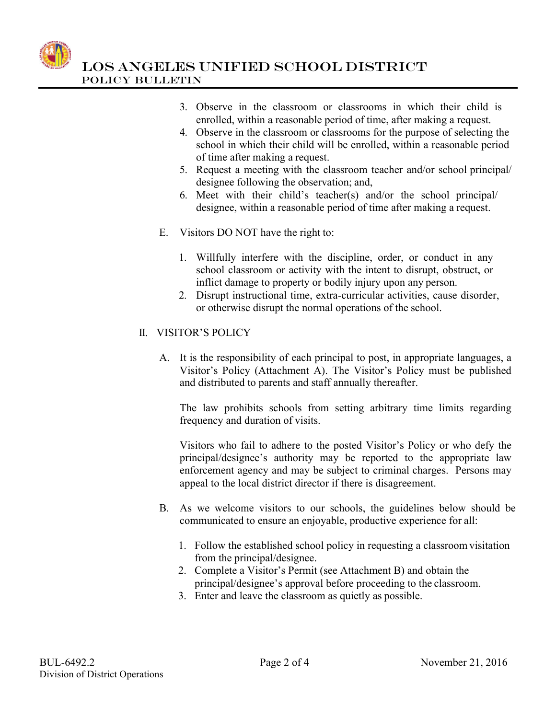

- 3. Observe in the classroom or classrooms in which their child is enrolled, within a reasonable period of time, after making a request.
- 4. Observe in the classroom or classrooms for the purpose of selecting the school in which their child will be enrolled, within a reasonable period of time after making a request.
- 5. Request a meeting with the classroom teacher and/or school principal/ designee following the observation; and,
- 6. Meet with their child's teacher(s) and/or the school principal/ designee, within a reasonable period of time after making a request.
- E. Visitors DO NOT have the right to:
	- 1. Willfully interfere with the discipline, order, or conduct in any school classroom or activity with the intent to disrupt, obstruct, or inflict damage to property or bodily injury upon any person.
	- 2. Disrupt instructional time, extra-curricular activities, cause disorder, or otherwise disrupt the normal operations of the school.

### II. VISITOR'S POLICY

A. It is the responsibility of each principal to post, in appropriate languages, a Visitor's Policy (Attachment A). The Visitor's Policy must be published and distributed to parents and staff annually thereafter.

The law prohibits schools from setting arbitrary time limits regarding frequency and duration of visits.

Visitors who fail to adhere to the posted Visitor's Policy or who defy the principal/designee's authority may be reported to the appropriate law enforcement agency and may be subject to criminal charges. Persons may appeal to the local district director if there is disagreement.

- B. As we welcome visitors to our schools, the guidelines below should be communicated to ensure an enjoyable, productive experience for all:
	- 1. Follow the established school policy in requesting a classroom visitation from the principal/designee.
	- 2. Complete a Visitor's Permit (see Attachment B) and obtain the principal/designee's approval before proceeding to the classroom.
	- 3. Enter and leave the classroom as quietly as possible.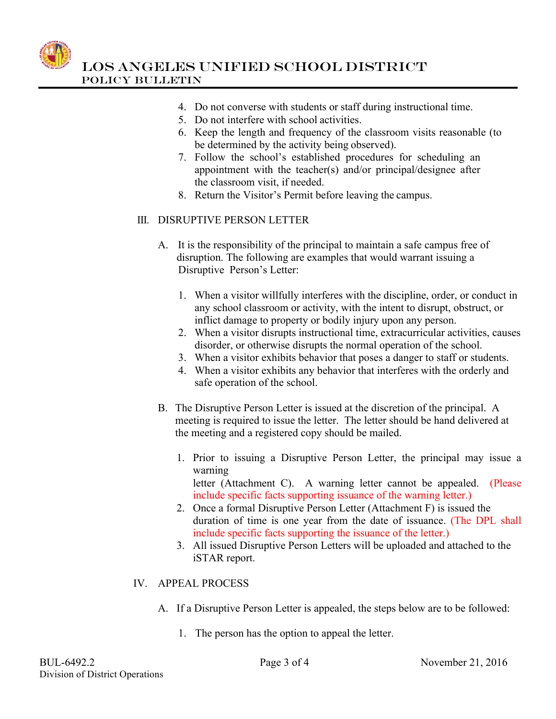

- 4. Do not converse with students or staff during instructional time.
- 5. Do not interfere with school activities.
- 6. Keep the length and frequency of the classroom visits reasonable (to be determined by the activity being observed).
- 7. Follow the school's established procedures for scheduling an appointment with the teacher(s) and/or principal/designee after the classroom visit, if needed.
- 8. Return the Visitor's Permit before leaving the campus.

### III. DISRUPTIVE PERSON LETTER

- A. It is the responsibility of the principal to maintain a safe campus free of disruption. The following are examples that would warrant issuing a Disruptive Person's Letter:
	- 1. When a visitor willfully interferes with the discipline, order, or conduct in any school classroom or activity, with the intent to disrupt, obstruct, or inflict damage to property or bodily injury upon any person.
	- 2. When a visitor disrupts instructional time, extracurricular activities, causes disorder, or otherwise disrupts the normal operation of the school.
	- 3. When a visitor exhibits behavior that poses a danger to staff or students.
	- 4. When a visitor exhibits any behavior that interferes with the orderly and safe operation of the school.
- B. The Disruptive Person Letter is issued at the discretion of the principal. A meeting is required to issue the letter. The letter should be hand delivered at the meeting and a registered copy should be mailed.
	- 1. Prior to issuing a Disruptive Person Letter, the principal may issue a warning letter (Attachment C). A warning letter cannot be appealed. (Please include specific facts supporting issuance of the warning letter.)
	- 2. Once a formal Disruptive Person Letter (Attachment F) is issued the duration of time is one year from the date of issuance. (The DPL shall include specific facts supporting the issuance of the letter.)
	- 3. All issued Disruptive Person Letters will be uploaded and attached to the iSTAR report.

### IV. APPEAL PROCESS

- A. If a Disruptive Person Letter is appealed, the steps below are to be followed:
	- 1. The person has the option to appeal the letter.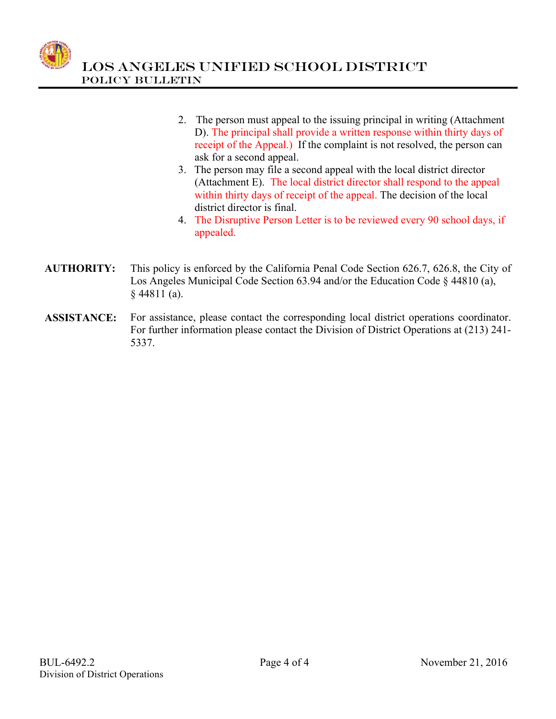

- 2. The person must appeal to the issuing principal in writing (Attachment D). The principal shall provide a written response within thirty days of receipt of the Appeal.) If the complaint is not resolved, the person can ask for a second appeal.
- 3. The person may file a second appeal with the local district director (Attachment E). The local district director shall respond to the appeal within thirty days of receipt of the appeal. The decision of the local district director is final.
- 4. The Disruptive Person Letter is to be reviewed every 90 school days, if appealed.
- **AUTHORITY:** This policy is enforced by the California Penal Code Section 626.7, 626.8, the City of Los Angeles Municipal Code Section 63.94 and/or the Education Code § 44810 (a),  $§$  44811 (a).
- **ASSISTANCE:** For assistance, please contact the corresponding local district operations coordinator. For further information please contact the Division of District Operations at (213) 241- 5337.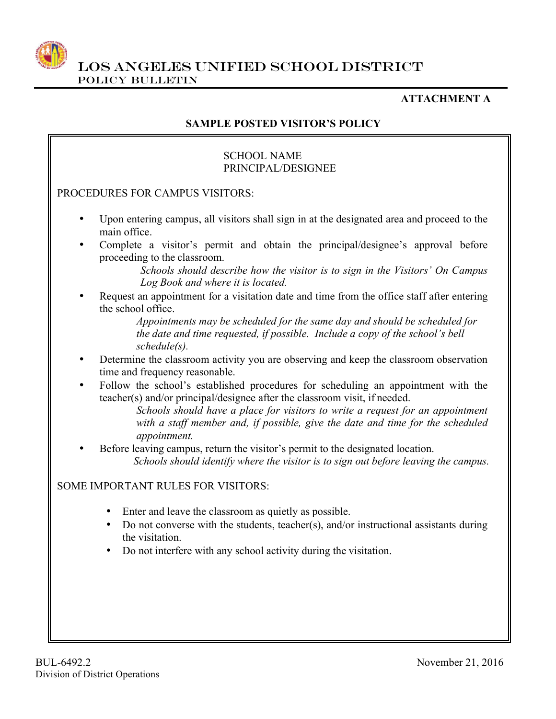

### **ATTACHMENT A**

## **SAMPLE POSTED VISITOR'S POLICY**

#### SCHOOL NAME PRINCIPAL/DESIGNEE

### PROCEDURES FOR CAMPUS VISITORS:

- Upon entering campus, all visitors shall sign in at the designated area and proceed to the main office.
- Complete a visitor's permit and obtain the principal/designee's approval before proceeding to the classroom.

*Schools should describe how the visitor is to sign in the Visitors' On Campus Log Book and where it is located.* 

• Request an appointment for a visitation date and time from the office staff after entering the school office.

> *Appointments may be scheduled for the same day and should be scheduled for the date and time requested, if possible. Include a copy of the school's bell schedule(s).*

- Determine the classroom activity you are observing and keep the classroom observation time and frequency reasonable.
- Follow the school's established procedures for scheduling an appointment with the teacher(s) and/or principal/designee after the classroom visit, if needed.

*Schools should have a place for visitors to write a request for an appointment with a staff member and, if possible, give the date and time for the scheduled appointment.*

• Before leaving campus, return the visitor's permit to the designated location.  *Schools should identify where the visitor is to sign out before leaving the campus.*

### SOME IMPORTANT RULES FOR VISITORS:

- Enter and leave the classroom as quietly as possible.
- Do not converse with the students, teacher(s), and/or instructional assistants during the visitation.
- Do not interfere with any school activity during the visitation.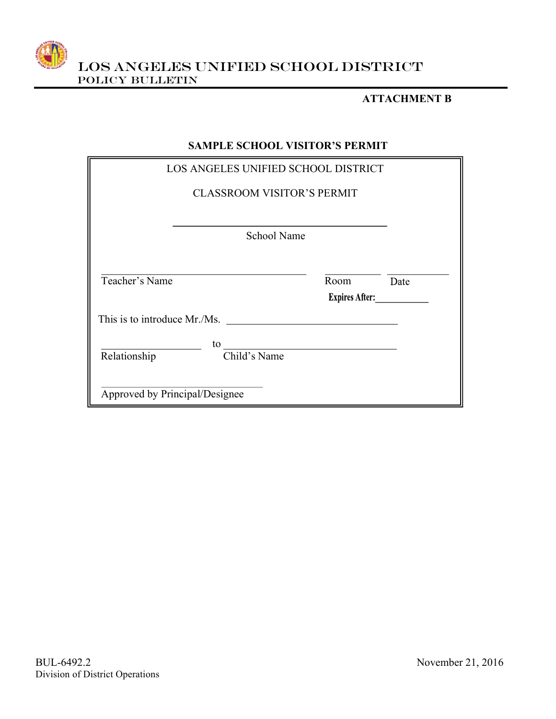

#### **ATTACHMENT B**

### **SAMPLE SCHOOL VISITOR'S PERMIT**

|                                   |    |                    | LOS ANGELES UNIFIED SCHOOL DISTRICT |                       |  |
|-----------------------------------|----|--------------------|-------------------------------------|-----------------------|--|
| <b>CLASSROOM VISITOR'S PERMIT</b> |    |                    |                                     |                       |  |
|                                   |    |                    |                                     |                       |  |
|                                   |    | <b>School Name</b> |                                     |                       |  |
|                                   |    |                    |                                     |                       |  |
| Teacher's Name                    |    |                    | Room                                | Date                  |  |
|                                   |    |                    |                                     | <b>Expires After:</b> |  |
| This is to introduce Mr./Ms.      |    |                    |                                     |                       |  |
|                                   | to |                    |                                     |                       |  |
| Relationship                      |    | Child's Name       |                                     |                       |  |
|                                   |    |                    |                                     |                       |  |
| Approved by Principal/Designee    |    |                    |                                     |                       |  |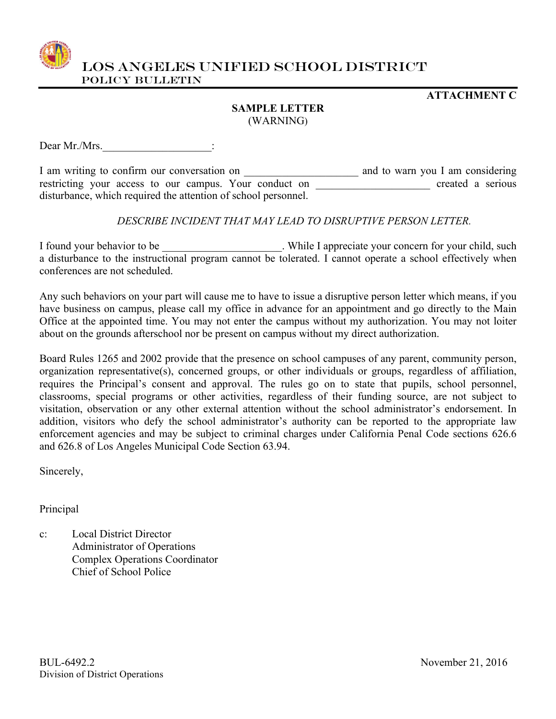

### **ATTACHMENT C**

### **SAMPLE LETTER** (WARNING)

Dear Mr./Mrs.

I am writing to confirm our conversation on \_\_\_\_\_\_\_\_\_\_\_\_\_\_\_\_\_\_\_\_\_ and to warn you I am considering restricting your access to our campus. Your conduct on \_\_\_\_\_\_\_\_\_\_\_\_\_\_\_\_\_\_\_\_ created a serious disturbance, which required the attention of school personnel.

### *DESCRIBE INCIDENT THAT MAY LEAD TO DISRUPTIVE PERSON LETTER.*

I found your behavior to be \_\_\_\_\_\_\_\_\_\_\_\_\_\_\_\_\_\_\_\_\_\_\_. While I appreciate your concern for your child, such a disturbance to the instructional program cannot be tolerated. I cannot operate a school effectively when conferences are not scheduled.

Any such behaviors on your part will cause me to have to issue a disruptive person letter which means, if you have business on campus, please call my office in advance for an appointment and go directly to the Main Office at the appointed time. You may not enter the campus without my authorization. You may not loiter about on the grounds afterschool nor be present on campus without my direct authorization.

Board Rules 1265 and 2002 provide that the presence on school campuses of any parent, community person, organization representative(s), concerned groups, or other individuals or groups, regardless of affiliation, requires the Principal's consent and approval. The rules go on to state that pupils, school personnel, classrooms, special programs or other activities, regardless of their funding source, are not subject to visitation, observation or any other external attention without the school administrator's endorsement. In addition, visitors who defy the school administrator's authority can be reported to the appropriate law enforcement agencies and may be subject to criminal charges under California Penal Code sections 626.6 and 626.8 of Los Angeles Municipal Code Section 63.94.

Sincerely,

Principal

c: Local District Director Administrator of Operations Complex Operations Coordinator Chief of School Police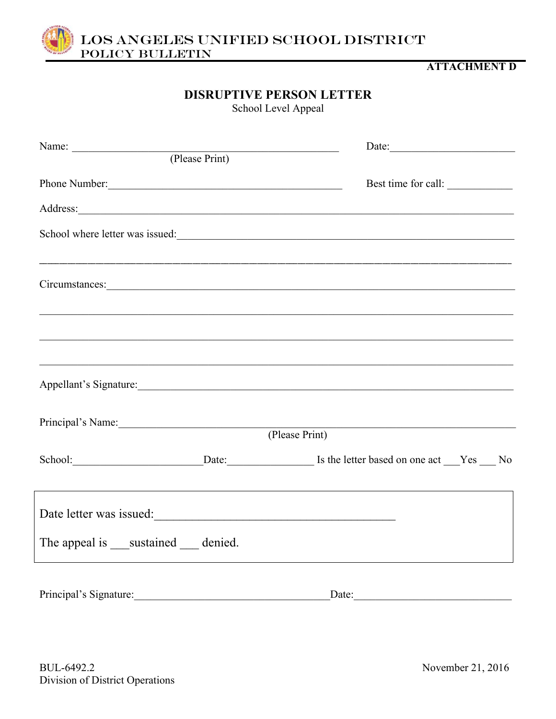

### **ATTACHMENT D**

# **DISRUPTIVE PERSON LETTER**

School Level Appeal

| Name: (Please Print)                         | Date:                                                                                                                                                                                                                                |
|----------------------------------------------|--------------------------------------------------------------------------------------------------------------------------------------------------------------------------------------------------------------------------------------|
|                                              |                                                                                                                                                                                                                                      |
| Phone Number:                                | Best time for call:                                                                                                                                                                                                                  |
|                                              | Address: <u>and the second contract of the second contract of the second contract of the second contract of the second contract of the second contract of the second contract of the second contract of the second contract of t</u> |
|                                              | School where letter was issued:                                                                                                                                                                                                      |
|                                              |                                                                                                                                                                                                                                      |
|                                              |                                                                                                                                                                                                                                      |
|                                              |                                                                                                                                                                                                                                      |
|                                              |                                                                                                                                                                                                                                      |
|                                              | ,我们也不能在这里的人,我们也不能在这里的人,我们也不能在这里的人,我们也不能在这里的人,我们也不能在这里的人,我们也不能在这里的人,我们也不能在这里的人,我们也                                                                                                                                                    |
|                                              |                                                                                                                                                                                                                                      |
|                                              | Appellant's Signature:                                                                                                                                                                                                               |
| Principal's Name:                            |                                                                                                                                                                                                                                      |
|                                              | (Please Print)                                                                                                                                                                                                                       |
|                                              | School: Date: Date: Is the letter based on one act Yes No                                                                                                                                                                            |
|                                              |                                                                                                                                                                                                                                      |
| Date letter was issued:                      |                                                                                                                                                                                                                                      |
|                                              |                                                                                                                                                                                                                                      |
| The appeal is _____ sustained ______ denied. |                                                                                                                                                                                                                                      |
|                                              |                                                                                                                                                                                                                                      |
| Principal's Signature:                       |                                                                                                                                                                                                                                      |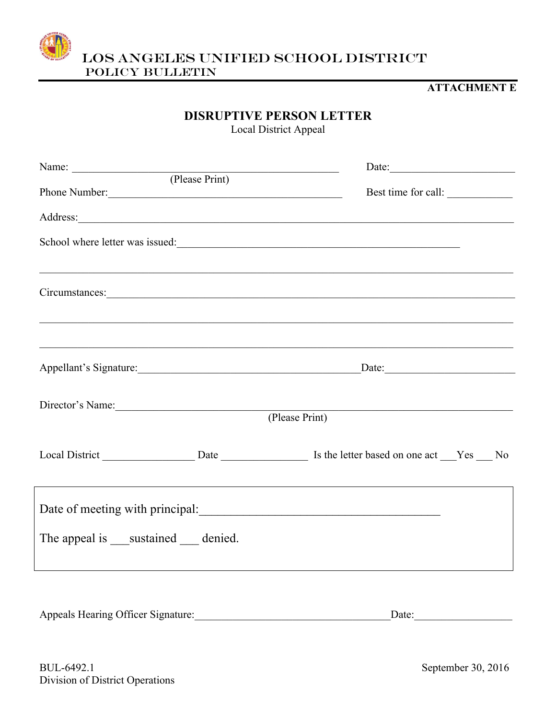

### **ATTACHMENT E**

# **DISRUPTIVE PERSON LETTER**

Local District Appeal

|                                       |  | Date:                                                                                                                                                                  |  |  |
|---------------------------------------|--|------------------------------------------------------------------------------------------------------------------------------------------------------------------------|--|--|
| Name: (Please Print)<br>Phone Number: |  | Best time for call:                                                                                                                                                    |  |  |
|                                       |  |                                                                                                                                                                        |  |  |
|                                       |  | School where letter was issued:                                                                                                                                        |  |  |
|                                       |  |                                                                                                                                                                        |  |  |
|                                       |  | ,我们也不能会有什么。""我们的人,我们也不能会有什么?""我们的人,我们也不能会有什么?""我们的人,我们也不能会有什么?""我们的人,我们也不能会有什么?""<br>,我们也不能在这里的人,我们也不能在这里的人,我们也不能在这里的人,我们也不能在这里的人,我们也不能在这里的人,我们也不能在这里的人,我们也不能在这里的人,我们也 |  |  |
|                                       |  |                                                                                                                                                                        |  |  |
| Director's Name:                      |  | (Please Print)                                                                                                                                                         |  |  |
|                                       |  |                                                                                                                                                                        |  |  |
|                                       |  | ,我们也不会有什么。""我们的人,我们也不会有什么?""我们的人,我们也不会有什么?""我们的人,我们也不会有什么?""我们的人,我们也不会有什么?""我们的人<br>Date of meeting with principal:                                                    |  |  |
| The appeal is sustained denied.       |  |                                                                                                                                                                        |  |  |
|                                       |  |                                                                                                                                                                        |  |  |

Appeals Hearing Officer Signature:\_\_\_\_\_\_\_\_\_\_\_\_\_\_\_\_\_\_\_\_\_\_\_\_\_\_\_\_\_\_\_\_\_\_\_\_Date:\_\_\_\_\_\_\_\_\_\_\_\_\_\_\_\_\_\_